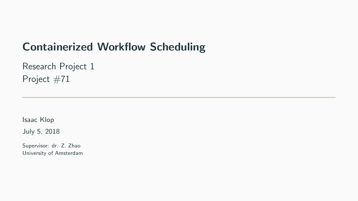# Containerized Workflow Scheduling

Research Project 1 Project #71

Isaac Klop

July 5, 2018

Supervisor: dr. Z. Zhao University of Amsterdam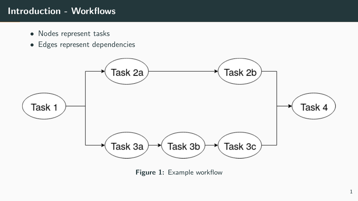# Introduction - Workflows

- Nodes represent tasks
- Edges represent dependencies



Figure 1: Example workflow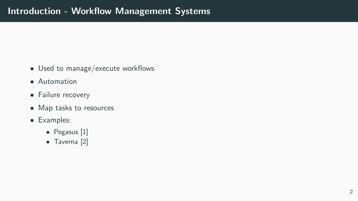- Used to manage/execute workflows
- Automation
- Failure recovery
- Map tasks to resources
- Examples:
	- Pegasus [\[1\]](#page-17-0)
	- Taverna [\[2\]](#page-17-1)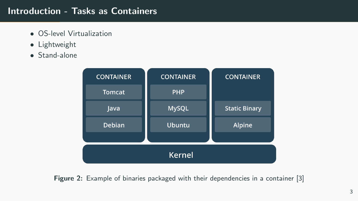## Introduction - Tasks as Containers

- OS-level Virtualization
- Lightweight
- Stand-alone



Figure 2: Example of binaries packaged with their dependencies in a container [\[3\]](#page-17-2)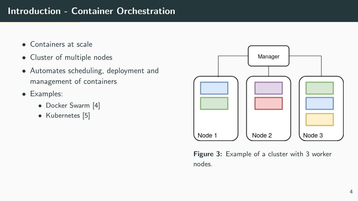## Introduction - Container Orchestration

- Containers at scale
- Cluster of multiple nodes
- Automates scheduling, deployment and management of containers
- Examples:
	- Docker Swarm [\[4\]](#page-17-3)
	- Kubernetes [\[5\]](#page-17-4)



Figure 3: Example of a cluster with 3 worker nodes.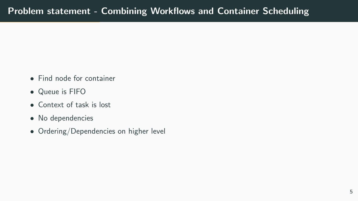- Find node for container
- Queue is FIFO
- Context of task is lost
- No dependencies
- Ordering/Dependencies on higher level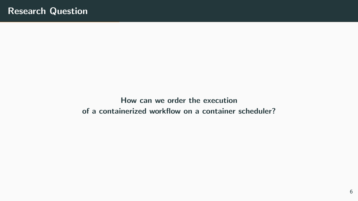How can we order the execution of a containerized workflow on a container scheduler?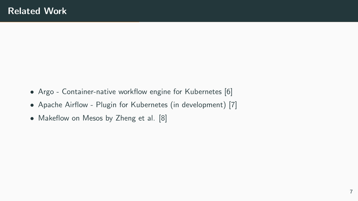- Argo Container-native workflow engine for Kubernetes [\[6\]](#page-18-0)
- Apache Airflow Plugin for Kubernetes (in development) [\[7\]](#page-18-1)
- Makeflow on Mesos by Zheng et al. [\[8\]](#page-18-2)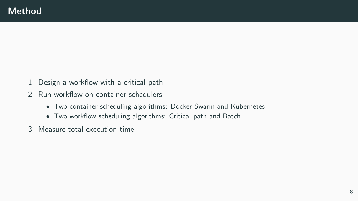- 1. Design a workflow with a critical path
- 2. Run workflow on container schedulers
	- Two container scheduling algorithms: Docker Swarm and Kubernetes
	- Two workflow scheduling algorithms: Critical path and Batch
- 3. Measure total execution time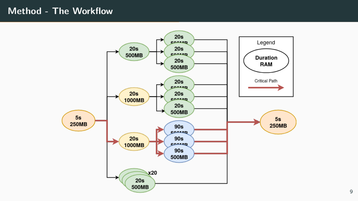#### Method - The Workflow

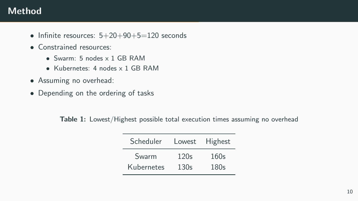## Method

- Infinite resources:  $5+20+90+5=120$  seconds
- Constrained resources:
	- Swarm: 5 nodes x 1 GB RAM
	- Kubernetes: 4 nodes x 1 GB RAM
- Assuming no overhead:
- Depending on the ordering of tasks

Table 1: Lowest/Highest possible total execution times assuming no overhead

| Scheduler  | Lowest | Highest |
|------------|--------|---------|
| Swarm      | 120s   | 160s    |
| Kubernetes | 130s   | 180s    |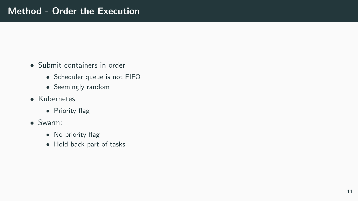- Submit containers in order
	- Scheduler queue is not FIFO
	- Seemingly random
- Kubernetes:
	- Priority flag
- Swarm:
	- No priority flag
	- Hold back part of tasks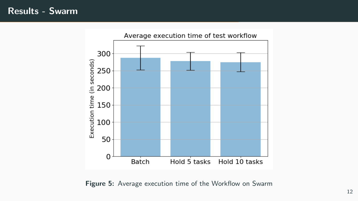## Results - Swarm



Figure 5: Average execution time of the Workflow on Swarm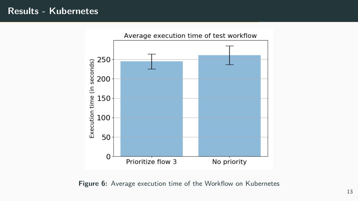## Results - Kubernetes



Figure 6: Average execution time of the Workflow on Kubernetes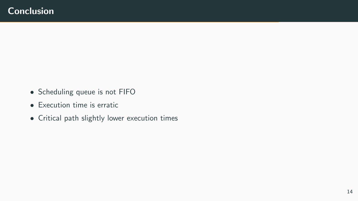- Scheduling queue is not FIFO
- Execution time is erratic
- Critical path slightly lower execution times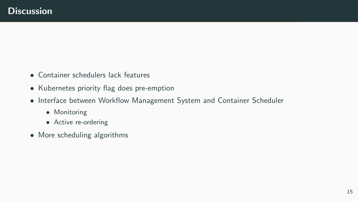- Container schedulers lack features
- Kubernetes priority flag does pre-emption
- Interface between Workflow Management System and Container Scheduler
	- Monitoring
	- Active re-ordering
- More scheduling algorithms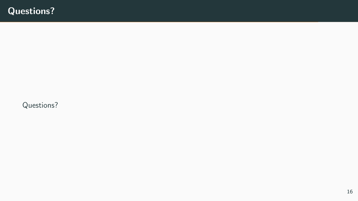Questions?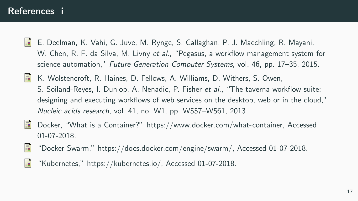#### References i

- <span id="page-17-0"></span>Ħ E. Deelman, K. Vahi, G. Juve, M. Rynge, S. Callaghan, P. J. Maechling, R. Mayani, W. Chen, R. F. da Silva, M. Livny et al., "Pegasus, a workflow management system for science automation," Future Generation Computer Systems, vol. 46, pp. 17–35, 2015.
- <span id="page-17-1"></span>量 K. Wolstencroft, R. Haines, D. Fellows, A. Williams, D. Withers, S. Owen, S. Soiland-Reyes, I. Dunlop, A. Nenadic, P. Fisher et al., "The taverna workflow suite: designing and executing workflows of web services on the desktop, web or in the cloud," Nucleic acids research, vol. 41, no. W1, pp. W557–W561, 2013.
- <span id="page-17-2"></span>Docker, "What is a Container?" [https://www.docker.com/what-container,](https://www.docker.com/what-container) Accessed 螶 01-07-2018.
- <span id="page-17-3"></span>畐 "Docker Swarm," [https://docs.docker.com/engine/swarm/,](https://docs.docker.com/engine/swarm/) Accessed 01-07-2018.
- <span id="page-17-4"></span>F "Kubernetes," [https://kubernetes.io/,](https://kubernetes.io/) Accessed 01-07-2018.